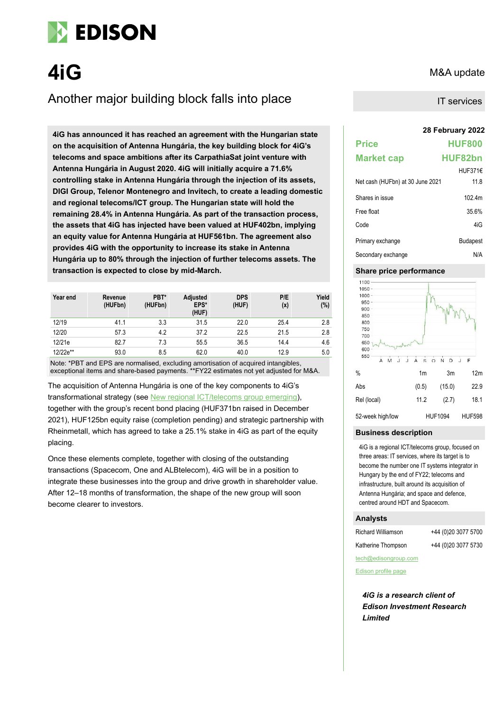

**4iG** M&A update

# Another major building block falls into place

**28 February 2022 4iG has announced it has reached an agreement with the Hungarian state on the acquisition of Antenna Hungária, the key building block for 4iG's telecoms and space ambitions after its CarpathiaSat joint venture with Antenna Hungária in August 2020. 4iG will initially acquire a 71.6% controlling stake in Antenna Hungária through the injection of its assets, DIGI Group, Telenor Montenegro and Invitech, to create a leading domestic and regional telecoms/ICT group. The Hungarian state will hold the remaining 28.4% in Antenna Hungária. As part of the transaction process, the assets that 4iG has injected have been valued at HUF402bn, implying an equity value for Antenna Hungária at HUF561bn. The agreement also provides 4iG with the opportunity to increase its stake in Antenna Hungária up to 80% through the injection of further telecoms assets. The transaction is expected to close by mid-March.**

| Year end | Revenue<br>(HUFbn) | PBT*<br>(HUFbn) | Adjusted<br>EPS*<br>(HUF) | <b>DPS</b><br>(HUF) | P/E<br>(x) | Yield<br>(%) |
|----------|--------------------|-----------------|---------------------------|---------------------|------------|--------------|
| 12/19    | 41.1               | 3.3             | 31.5                      | 22.0                | 25.4       | 2.8          |
| 12/20    | 57.3               | 4.2             | 37.2                      | 22.5                | 21.5       | 2.8          |
| 12/21e   | 82.7               | 7.3             | 55.5                      | 36.5                | 14.4       | 4.6          |
| 12/22e** | 93.0               | 8.5             | 62.0                      | 40.0                | 12.9       | 5.0          |

Note: \*PBT and EPS are normalised, excluding amortisation of acquired intangibles, exceptional items and share-based payments. \*\*FY22 estimates not yet adjusted for M&A.

The acquisition of Antenna Hungária is one of the key components to 4iG's transformational strategy (see [New regional ICT/telecoms group emerging\)](https://www.edisongroup.com/wp-content/uploads/2022/02/4iG-New-regional-ICTtelecoms-group-emerging-1.pdf), together with the group's recent bond placing (HUF371bn raised in December 2021), HUF125bn equity raise (completion pending) and strategic partnership with Rheinmetall, which has agreed to take a 25.1% stake in 4iG as part of the equity placing.

Once these elements complete, together with closing of the outstanding transactions (Spacecom, One and ALBtelecom), 4iG will be in a position to integrate these businesses into the group and drive growth in shareholder value. After 12–18 months of transformation, the shape of the new group will soon become clearer to investors.

IT services

| <b>Price</b>                     | <b>HUF800</b>   |
|----------------------------------|-----------------|
| <b>Market cap</b>                | <b>HUF82bn</b>  |
|                                  | HUF371€         |
| Net cash (HUFbn) at 30 June 2021 | 11.8            |
| Shares in issue                  | 102.4m          |
| Free float                       | 35.6%           |
| Code                             | 4iG             |
| Primary exchange                 | <b>Budapest</b> |
| Secondary exchange               | N/A             |

## **Share price performance**



# **Business description**

4iG is a regional ICT/telecoms group, focused on three areas: IT services, where its target is to become the number one IT systems integrator in Hungary by the end of FY22; telecoms and infrastructure, built around its acquisition of Antenna Hungária; and space and defence, centred around HDT and Spacecom.

# **Analysts**

Richard Williamson +44 (0)20 3077 5700

Katherine Thompson +44 (0)20 3077 5730

tech@edisongroup.com

[Edison profile page](https://www.edisongroup.com/company/4ig/2928)

*4iG is a research client of Edison Investment Research Limited*